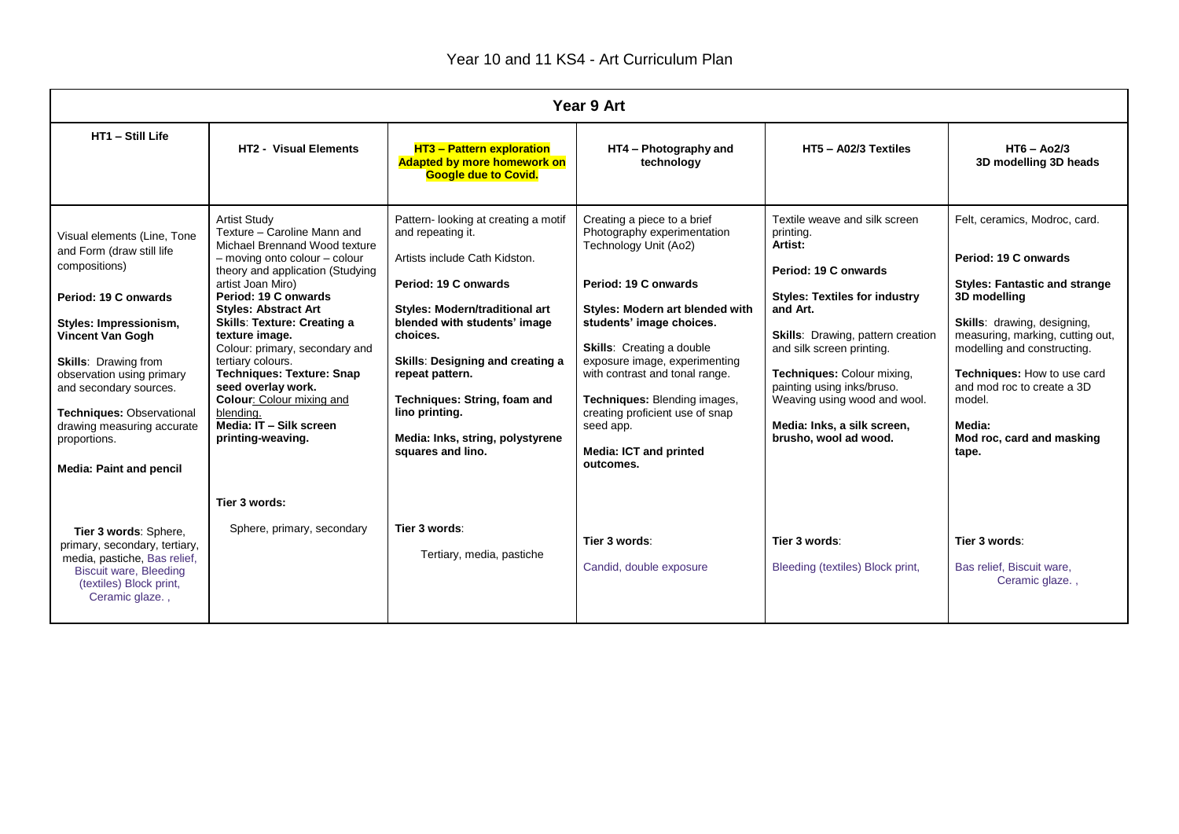| Year 9 Art                                                                                                                                                                                                                                                                                                                                                |                                                                                                                                                                                                                                                                                                                                                                                                                                                                                                                |                                                                                                                                                                                                                                                                                                                                                                          |                                                                                                                                                                                                                                                                                                                                                                                                                 |                                                                                                                                                                                                                                                                                                                                                                |                                                                                                                                                                                                                                                                                                                                               |  |  |  |  |
|-----------------------------------------------------------------------------------------------------------------------------------------------------------------------------------------------------------------------------------------------------------------------------------------------------------------------------------------------------------|----------------------------------------------------------------------------------------------------------------------------------------------------------------------------------------------------------------------------------------------------------------------------------------------------------------------------------------------------------------------------------------------------------------------------------------------------------------------------------------------------------------|--------------------------------------------------------------------------------------------------------------------------------------------------------------------------------------------------------------------------------------------------------------------------------------------------------------------------------------------------------------------------|-----------------------------------------------------------------------------------------------------------------------------------------------------------------------------------------------------------------------------------------------------------------------------------------------------------------------------------------------------------------------------------------------------------------|----------------------------------------------------------------------------------------------------------------------------------------------------------------------------------------------------------------------------------------------------------------------------------------------------------------------------------------------------------------|-----------------------------------------------------------------------------------------------------------------------------------------------------------------------------------------------------------------------------------------------------------------------------------------------------------------------------------------------|--|--|--|--|
| HT1 - Still Life                                                                                                                                                                                                                                                                                                                                          | <b>HT2 - Visual Elements</b>                                                                                                                                                                                                                                                                                                                                                                                                                                                                                   | <b>HT3 - Pattern exploration</b><br><b>Adapted by more homework on</b><br><b>Google due to Covid.</b>                                                                                                                                                                                                                                                                    | HT4 - Photography and<br>technology                                                                                                                                                                                                                                                                                                                                                                             | HT5 - A02/3 Textiles                                                                                                                                                                                                                                                                                                                                           | $HT6 - Ao2/3$<br>3D modelling 3D heads                                                                                                                                                                                                                                                                                                        |  |  |  |  |
| Visual elements (Line, Tone<br>and Form (draw still life<br>compositions)<br>Period: 19 C onwards<br>Styles: Impressionism,<br><b>Vincent Van Gogh</b><br><b>Skills: Drawing from</b><br>observation using primary<br>and secondary sources.<br>Techniques: Observational<br>drawing measuring accurate<br>proportions.<br><b>Media: Paint and pencil</b> | <b>Artist Study</b><br>Texture - Caroline Mann and<br>Michael Brennand Wood texture<br>- moving onto colour - colour<br>theory and application (Studying<br>artist Joan Miro)<br>Period: 19 C onwards<br><b>Styles: Abstract Art</b><br><b>Skills: Texture: Creating a</b><br>texture image.<br>Colour: primary, secondary and<br>tertiary colours.<br><b>Techniques: Texture: Snap</b><br>seed overlay work.<br><b>Colour:</b> Colour mixing and<br>blending.<br>Media: IT - Silk screen<br>printing-weaving. | Pattern-looking at creating a motif<br>and repeating it.<br>Artists include Cath Kidston.<br>Period: 19 C onwards<br><b>Styles: Modern/traditional art</b><br>blended with students' image<br>choices.<br>Skills: Designing and creating a<br>repeat pattern.<br>Techniques: String, foam and<br>lino printing.<br>Media: Inks, string, polystyrene<br>squares and lino. | Creating a piece to a brief<br>Photography experimentation<br>Technology Unit (Ao2)<br>Period: 19 C onwards<br>Styles: Modern art blended with<br>students' image choices.<br><b>Skills:</b> Creating a double<br>exposure image, experimenting<br>with contrast and tonal range.<br>Techniques: Blending images,<br>creating proficient use of snap<br>seed app.<br><b>Media: ICT and printed</b><br>outcomes. | Textile weave and silk screen<br>printing.<br>Artist:<br>Period: 19 C onwards<br><b>Styles: Textiles for industry</b><br>and Art.<br><b>Skills:</b> Drawing, pattern creation<br>and silk screen printing.<br>Techniques: Colour mixing,<br>painting using inks/bruso.<br>Weaving using wood and wool.<br>Media: Inks, a silk screen,<br>brusho, wool ad wood. | Felt, ceramics, Modroc, card.<br>Period: 19 C onwards<br><b>Styles: Fantastic and strange</b><br>3D modelling<br>Skills: drawing, designing,<br>measuring, marking, cutting out,<br>modelling and constructing.<br><b>Techniques:</b> How to use card<br>and mod roc to create a 3D<br>model.<br>Media:<br>Mod roc, card and masking<br>tape. |  |  |  |  |
| Tier 3 words: Sphere,<br>primary, secondary, tertiary,<br>media, pastiche, Bas relief,<br><b>Biscuit ware, Bleeding</b><br>(textiles) Block print,<br>Ceramic glaze.,                                                                                                                                                                                     | Tier 3 words:<br>Sphere, primary, secondary                                                                                                                                                                                                                                                                                                                                                                                                                                                                    | Tier 3 words:<br>Tertiary, media, pastiche                                                                                                                                                                                                                                                                                                                               | Tier 3 words:<br>Candid, double exposure                                                                                                                                                                                                                                                                                                                                                                        | Tier 3 words:<br>Bleeding (textiles) Block print,                                                                                                                                                                                                                                                                                                              | Tier 3 words:<br>Bas relief. Biscuit ware.<br>Ceramic glaze.,                                                                                                                                                                                                                                                                                 |  |  |  |  |